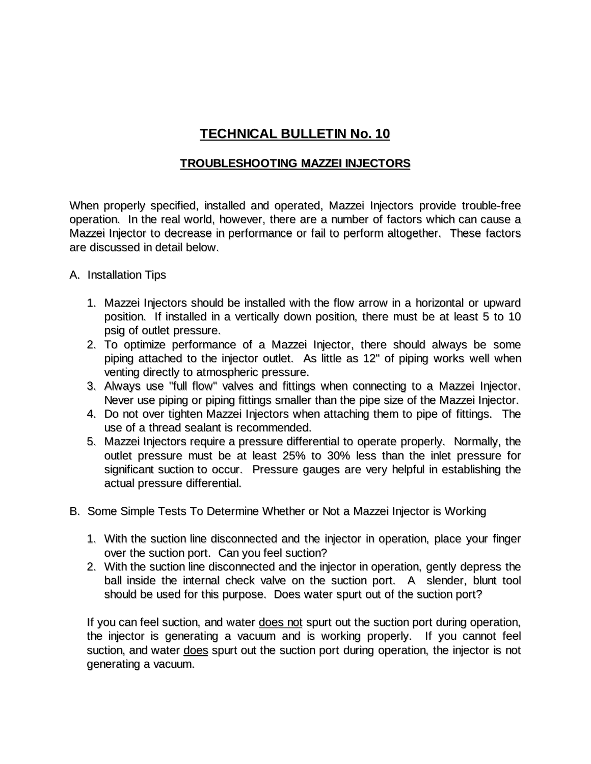## **TECHNICAL BULLETIN No. 10**

## **TROUBLESHOOTING MAZZEI INJECTORS**

When properly specified, installed and operated, Mazzei Injectors provide trouble-free operation. In the real world, however, there are a number of factors which can cause a Mazzei Injector to decrease in performance or fail to perform altogether. These factors are discussed in detail below.

- A. Installation Tips
	- 1. Mazzei Injectors should be installed with the flow arrow in a horizontal or upward position. If installed in a vertically down position, there must be at least 5 to 10 psig of outlet pressure.
	- 2. To optimize performance of a Mazzei Injector, there should always be some piping attached to the injector outlet. As little as 12" of piping works well when venting directly to atmospheric pressure.
	- 3. Always use "full flow" valves and fittings when connecting to a Mazzei Injector. Never use piping or piping fittings smaller than the pipe size of the Mazzei Injector.
	- 4. Do not over tighten Mazzei Injectors when attaching them to pipe of fittings. The use of a thread sealant is recommended.
	- 5. Mazzei Injectors require a pressure differential to operate properly. Normally, the outlet pressure must be at least 25% to 30% less than the inlet pressure for significant suction to occur. Pressure gauges are very helpful in establishing the actual pressure differential.
- B. Some Simple Tests To Determine Whether or Not a Mazzei Injector is Working
	- 1. With the suction line disconnected and the injector in operation, place your finger over the suction port. Can you feel suction?
	- 2. With the suction line disconnected and the injector in operation, gently depress the ball inside the internal check valve on the suction port. A slender, blunt tool should be used for this purpose. Does water spurt out of the suction port?

If you can feel suction, and water does not spurt out the suction port during operation, the injector is generating a vacuum and is working properly. If you cannot feel suction, and water does spurt out the suction port during operation, the injector is not generating a vacuum.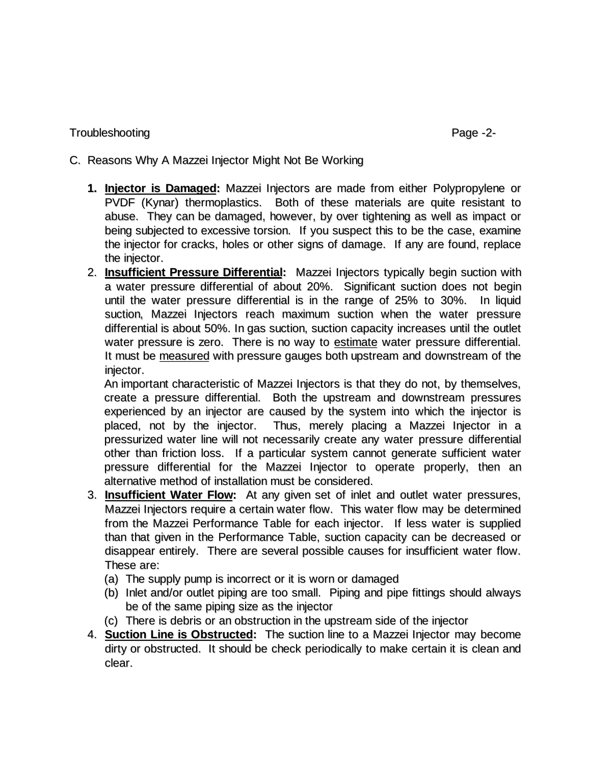## Troubleshooting Page -2-

- C. Reasons Why A Mazzei Injector Might Not Be Working
	- **1. Injector is Damaged:** Mazzei Injectors are made from either Polypropylene or PVDF (Kynar) thermoplastics. Both of these materials are quite resistant to abuse. They can be damaged, however, by over tightening as well as impact or being subjected to excessive torsion. If you suspect this to be the case, examine the injector for cracks, holes or other signs of damage. If any are found, replace the injector.
	- 2. **Insufficient Pressure Differential:** Mazzei Injectors typically begin suction with a water pressure differential of about 20%. Significant suction does not begin until the water pressure differential is in the range of 25% to 30%. In liquid suction, Mazzei Injectors reach maximum suction when the water pressure differential is about 50%. In gas suction, suction capacity increases until the outlet water pressure is zero. There is no way to estimate water pressure differential. It must be measured with pressure gauges both upstream and downstream of the injector.

An important characteristic of Mazzei Injectors is that they do not, by themselves, create a pressure differential. Both the upstream and downstream pressures experienced by an injector are caused by the system into which the injector is placed, not by the injector. Thus, merely placing a Mazzei Injector in a pressurized water line will not necessarily create any water pressure differential other than friction loss. If a particular system cannot generate sufficient water pressure differential for the Mazzei Injector to operate properly, then an alternative method of installation must be considered.

- 3. **Insufficient Water Flow:** At any given set of inlet and outlet water pressures, Mazzei Injectors require a certain water flow. This water flow may be determined from the Mazzei Performance Table for each injector. If less water is supplied than that given in the Performance Table, suction capacity can be decreased or disappear entirely. There are several possible causes for insufficient water flow. These are:
	- (a) The supply pump is incorrect or it is worn or damaged
	- (b) Inlet and/or outlet piping are too small. Piping and pipe fittings should always be of the same piping size as the injector
	- (c) There is debris or an obstruction in the upstream side of the injector
- 4. **Suction Line is Obstructed:** The suction line to a Mazzei Injector may become dirty or obstructed. It should be check periodically to make certain it is clean and clear.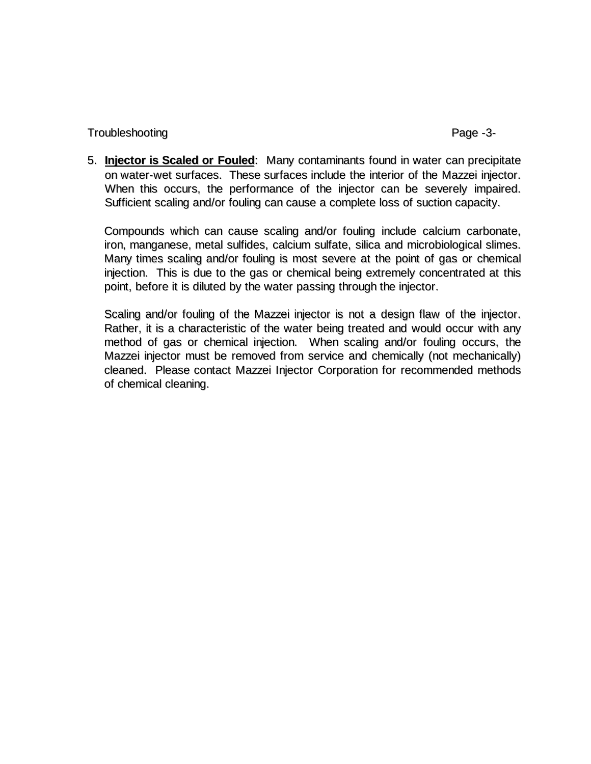Troubleshooting example and the example of the example of the example of the example of the example of the example of the example of the example of the example of the example of the example of the example of the example of

5. **Injector is Scaled or Fouled**: Many contaminants found in water can precipitate on water-wet surfaces. These surfaces include the interior of the Mazzei injector. When this occurs, the performance of the injector can be severely impaired. Sufficient scaling and/or fouling can cause a complete loss of suction capacity.

Compounds which can cause scaling and/or fouling include calcium carbonate, iron, manganese, metal sulfides, calcium sulfate, silica and microbiological slimes. Many times scaling and/or fouling is most severe at the point of gas or chemical injection. This is due to the gas or chemical being extremely concentrated at this point, before it is diluted by the water passing through the injector.

Scaling and/or fouling of the Mazzei injector is not a design flaw of the injector. Rather, it is a characteristic of the water being treated and would occur with any method of gas or chemical injection. When scaling and/or fouling occurs, the Mazzei injector must be removed from service and chemically (not mechanically) cleaned. Please contact Mazzei Injector Corporation for recommended methods of chemical cleaning.